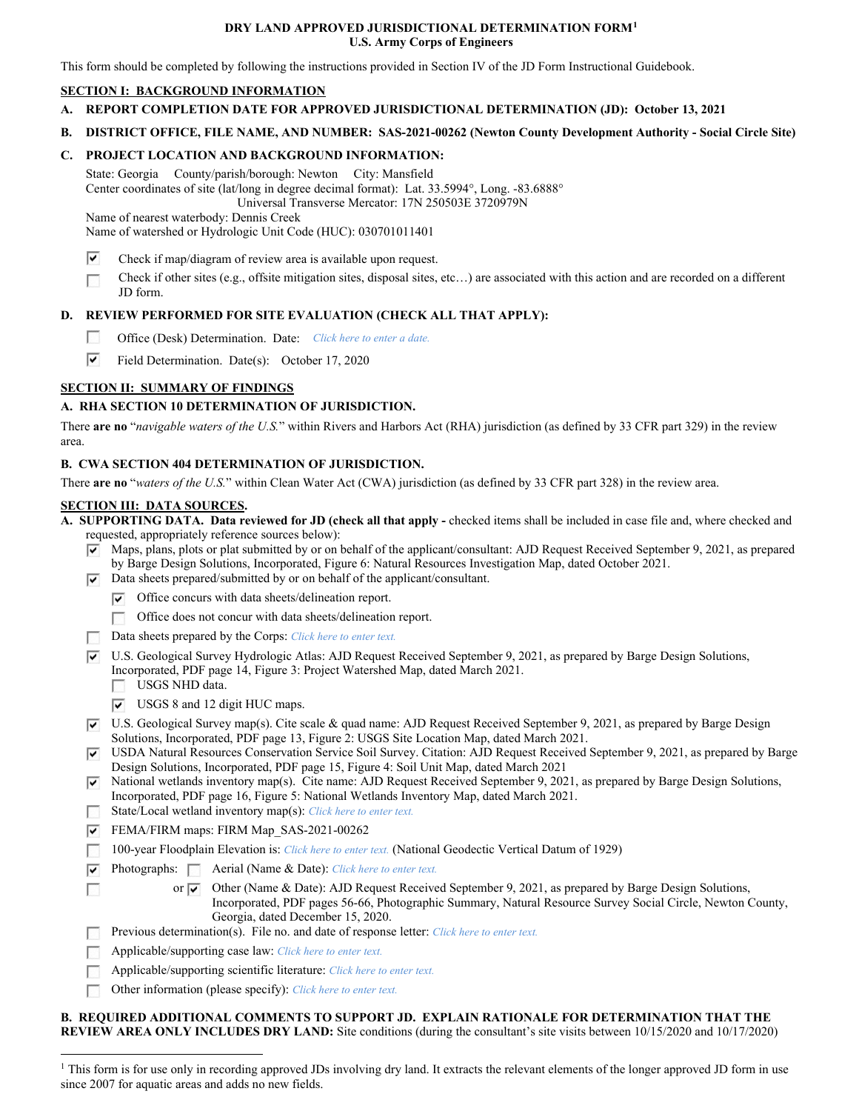### **DRY LAND APPROVED JURISDICTIONAL DETERMINATION FORM1 U.S. Army Corps of Engineers**

This form should be completed by following the instructions provided in Section IV of the JD Form Instructional Guidebook.

## **SECTION I: BACKGROUND INFORMATION**

- **A. REPORT COMPLETION DATE FOR APPROVED JURISDICTIONAL DETERMINATION (JD): October 13, 2021**
- **B. DISTRICT OFFICE, FILE NAME, AND NUMBER: SAS-2021-00262 (Newton County Development Authority - Social Circle Site)**

## **C. PROJECT LOCATION AND BACKGROUND INFORMATION:**

State: Georgia County/parish/borough: Newton City: Mansfield Center coordinates of site (lat/long in degree decimal format): Lat. 33.5994°, Long. -83.6888° Universal Transverse Mercator: 17N 250503E 3720979N

Name of nearest waterbody: Dennis Creek

Name of watershed or Hydrologic Unit Code (HUC): 030701011401

- $\overline{\mathbf{v}}$ Check if map/diagram of review area is available upon request.
- D Check if other sites (e.g., offsite mitigation sites, disposal sites, etc…) are associated with this action and are recorded on a different JD form.

## **D. REVIEW PERFORMED FOR SITE EVALUATION (CHECK ALL THAT APPLY):**

- **DR** Office (Desk) Determination. Date: *Click here to enter a date.*
- ⊽ Field Determination. Date(s): October 17, 2020

# **SECTION II: SUMMARY OF FINDINGS**

# **A. RHA SECTION 10 DETERMINATION OF JURISDICTION.**

There **are no** "*navigable waters of the U.S.*" within Rivers and Harbors Act (RHA) jurisdiction (as defined by 33 CFR part 329) in the review area.

## **B. CWA SECTION 404 DETERMINATION OF JURISDICTION.**

There **are no** "*waters of the U.S.*" within Clean Water Act (CWA) jurisdiction (as defined by 33 CFR part 328) in the review area.

### **SECTION III: DATA SOURCES.**

D

**A. SUPPORTING DATA. Data reviewed for JD (check all that apply -** checked items shall be included in case file and, where checked and requested, appropriately reference sources below):

- Pl Maps, plans, plots or plat submitted by or on behalf of the applicant/consultant: AJD Request Received September 9, 2021, as prepared by Barge Design Solutions, Incorporated, Figure 6: Natural Resources Investigation Map, dated October 2021.
- $\nabla$  Data sheets prepared/submitted by or on behalf of the applicant/consultant.
	- $\triangledown$  Office concurs with data sheets/delineation report.
	- Office does not concur with data sheets/delineation report.
- Data sheets prepared by the Corps: *Click here to enter text*.
- U.S. Geological Survey Hydrologic Atlas: AJD Request Received September 9, 2021, as prepared by Barge Design Solutions, USGS NHD data. Incorporated, PDF page 14, Figure 3: Project Watershed Map, dated March 2021.
	- $\triangledown$  USGS 8 and 12 digit HUC maps.
- U.S. Geological Survey map(s). Cite scale & quad name: AJD Request Received September 9, 2021, as prepared by Barge Design Solutions, Incorporated, PDF page 13, Figure 2: USGS Site Location Map, dated March 2021.
- @ USDA Natural Resources Conservation Service Soil Survey. Citation: AJD Request Received September 9, 2021, as prepared by Barge Design Solutions, Incorporated, PDF page 15, Figure 4: Soil Unit Map, dated March 2021
- $\blacktriangleright$  National wetlands inventory map(s). Cite name: AJD Request Received September 9, 2021, as prepared by Barge Design Solutions, **DO** Incorporated, PDF page 16, Figure 5: National Wetlands Inventory Map, dated March 2021. State/Local wetland inventory map(s): *Click here to enter text.*
- FEMA/FIRM maps: FIRM Map\_SAS-2021-00262
- **Designation** 100-year Floodplain Elevation is: *Click here to enter text.* (National Geodectic Vertical Datum of 1929)
- @ Photographs: **Aerial (Name & Date)**: *Click here to enter text.* 
	- or  $\overline{\blacktriangledown}$ Other (Name & Date): AJD Request Received September 9, 2021, as prepared by Barge Design Solutions, Incorporated, PDF pages 56-66, Photographic Summary, Natural Resource Survey Social Circle, Newton County, Georgia, dated December 15, 2020.
- D Previous determination(s). File no. and date of response letter: *Click here to enter text.*
- D Applicable/supporting case law: *Click here to enter text.*
- D Applicable/supporting scientific literature: *Click here to enter text.*
- **D** Other information (please specify): *Click here to enter text.*

#### **B. REQUIRED ADDITIONAL COMMENTS TO SUPPORT JD. EXPLAIN RATIONALE FOR DETERMINATION THAT THE REVIEW AREA ONLY INCLUDES DRY LAND:** Site conditions (during the consultant's site visits between 10/15/2020 and 10/17/2020)

<sup>&</sup>lt;sup>1</sup> This form is for use only in recording approved JDs involving dry land. It extracts the relevant elements of the longer approved JD form in use since 2007 for aquatic areas and adds no new fields.